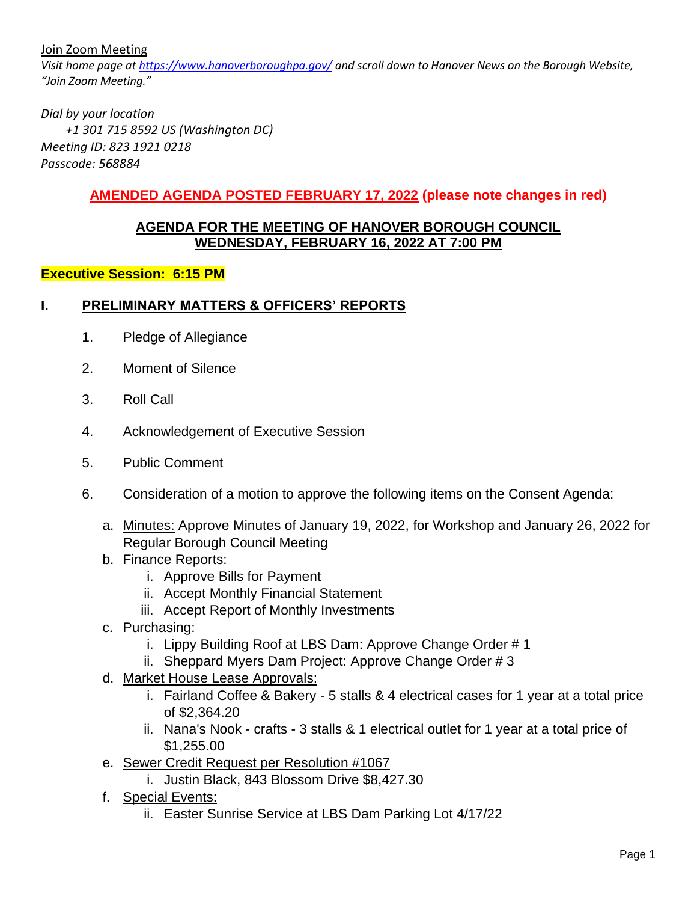Join Zoom Meeting

*Visit home page at<https://www.hanoverboroughpa.gov/> and scroll down to Hanover News on the Borough Website, "Join Zoom Meeting."*

*Dial by your location +1 301 715 8592 US (Washington DC) Meeting ID: 823 1921 0218 Passcode: 568884*

### **AMENDED AGENDA POSTED FEBRUARY 17, 2022 (please note changes in red)**

#### **AGENDA FOR THE MEETING OF HANOVER BOROUGH COUNCIL WEDNESDAY, FEBRUARY 16, 2022 AT 7:00 PM**

#### **Executive Session: 6:15 PM**

#### **I. PRELIMINARY MATTERS & OFFICERS' REPORTS**

- 1. Pledge of Allegiance
- 2. Moment of Silence
- 3. Roll Call
- 4. Acknowledgement of Executive Session
- 5. Public Comment
- 6. Consideration of a motion to approve the following items on the Consent Agenda:
	- a. Minutes: Approve Minutes of January 19, 2022, for Workshop and January 26, 2022 for Regular Borough Council Meeting
	- b. Finance Reports:
		- i. Approve Bills for Payment
		- ii. Accept Monthly Financial Statement
		- iii. Accept Report of Monthly Investments
	- c. Purchasing:
		- i. Lippy Building Roof at LBS Dam: Approve Change Order # 1
		- ii. Sheppard Myers Dam Project: Approve Change Order # 3
	- d. Market House Lease Approvals:
		- i. Fairland Coffee & Bakery 5 stalls & 4 electrical cases for 1 year at a total price of \$2,364.20
		- ii. Nana's Nook crafts 3 stalls & 1 electrical outlet for 1 year at a total price of \$1,255.00
	- e. Sewer Credit Request per Resolution #1067
		- i. Justin Black, 843 Blossom Drive \$8,427.30
	- f. Special Events:
		- ii. Easter Sunrise Service at LBS Dam Parking Lot 4/17/22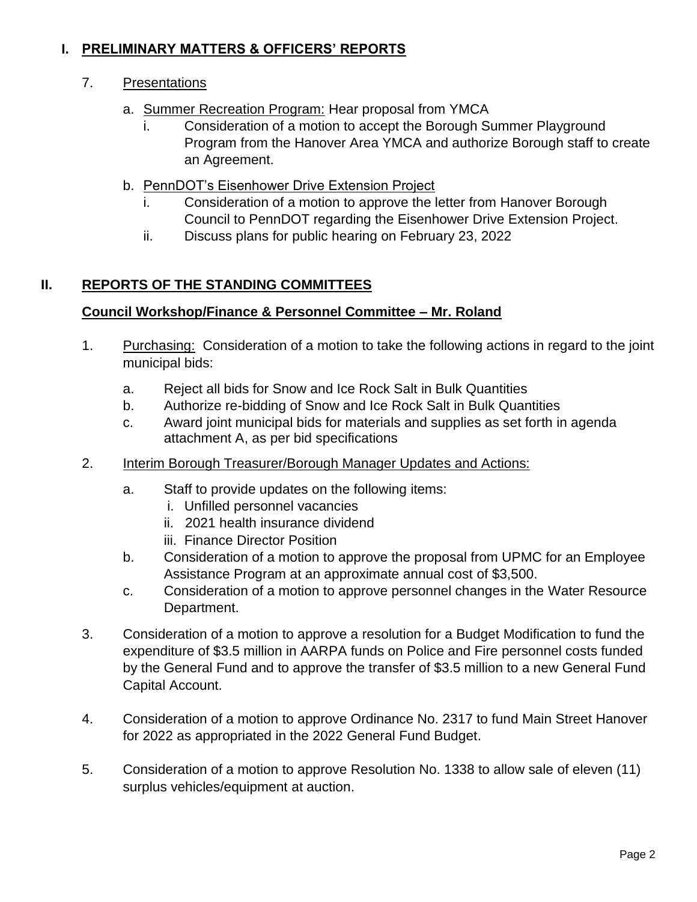# **I. PRELIMINARY MATTERS & OFFICERS' REPORTS**

## 7. Presentations

- a. Summer Recreation Program: Hear proposal from YMCA
	- i. Consideration of a motion to accept the Borough Summer Playground Program from the Hanover Area YMCA and authorize Borough staff to create an Agreement.
- b. PennDOT's Eisenhower Drive Extension Project
	- Consideration of a motion to approve the letter from Hanover Borough Council to PennDOT regarding the Eisenhower Drive Extension Project.
	- ii. Discuss plans for public hearing on February 23, 2022

# **II. REPORTS OF THE STANDING COMMITTEES**

# **Council Workshop/Finance & Personnel Committee – Mr. Roland**

- 1. Purchasing: Consideration of a motion to take the following actions in regard to the joint municipal bids:
	- a. Reject all bids for Snow and Ice Rock Salt in Bulk Quantities
	- b. Authorize re-bidding of Snow and Ice Rock Salt in Bulk Quantities
	- c. Award joint municipal bids for materials and supplies as set forth in agenda attachment A, as per bid specifications
- 2. Interim Borough Treasurer/Borough Manager Updates and Actions:
	- a. Staff to provide updates on the following items:
		- i. Unfilled personnel vacancies
		- ii. 2021 health insurance dividend
		- iii. Finance Director Position
	- b. Consideration of a motion to approve the proposal from UPMC for an Employee Assistance Program at an approximate annual cost of \$3,500.
	- c. Consideration of a motion to approve personnel changes in the Water Resource Department.
- 3. Consideration of a motion to approve a resolution for a Budget Modification to fund the expenditure of \$3.5 million in AARPA funds on Police and Fire personnel costs funded by the General Fund and to approve the transfer of \$3.5 million to a new General Fund Capital Account.
- 4. Consideration of a motion to approve Ordinance No. 2317 to fund Main Street Hanover for 2022 as appropriated in the 2022 General Fund Budget.
- 5. Consideration of a motion to approve Resolution No. 1338 to allow sale of eleven (11) surplus vehicles/equipment at auction.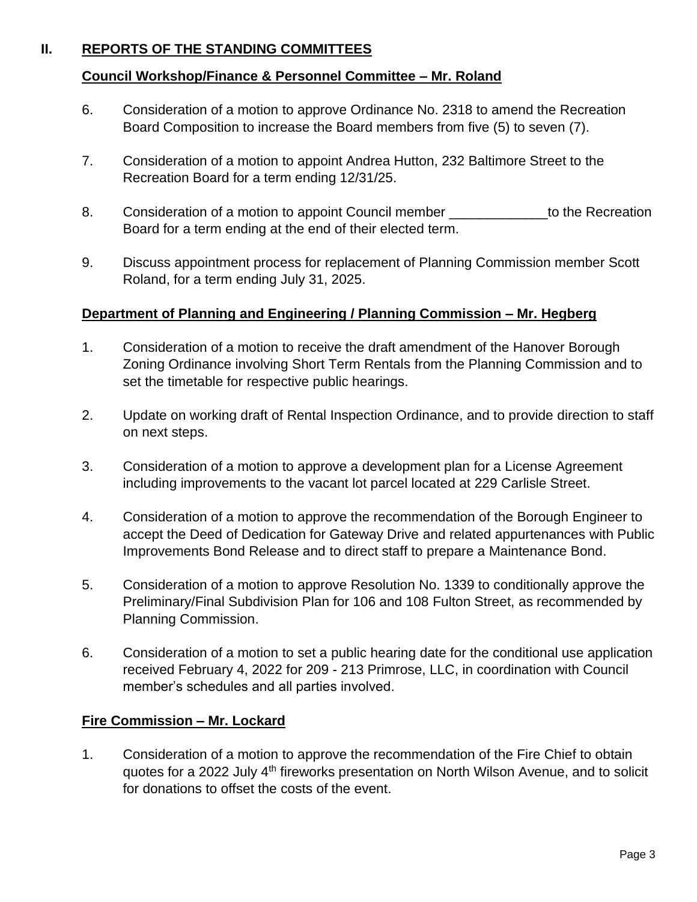# **II. REPORTS OF THE STANDING COMMITTEES**

#### **Council Workshop/Finance & Personnel Committee – Mr. Roland**

- 6. Consideration of a motion to approve Ordinance No. 2318 to amend the Recreation Board Composition to increase the Board members from five (5) to seven (7).
- 7. Consideration of a motion to appoint Andrea Hutton, 232 Baltimore Street to the Recreation Board for a term ending 12/31/25.
- 8. Consideration of a motion to appoint Council member \_\_\_\_\_\_\_\_\_\_\_\_\_to the Recreation Board for a term ending at the end of their elected term.
- 9. Discuss appointment process for replacement of Planning Commission member Scott Roland, for a term ending July 31, 2025.

#### **Department of Planning and Engineering / Planning Commission – Mr. Hegberg**

- 1. Consideration of a motion to receive the draft amendment of the Hanover Borough Zoning Ordinance involving Short Term Rentals from the Planning Commission and to set the timetable for respective public hearings.
- 2. Update on working draft of Rental Inspection Ordinance, and to provide direction to staff on next steps.
- 3. Consideration of a motion to approve a development plan for a License Agreement including improvements to the vacant lot parcel located at 229 Carlisle Street.
- 4. Consideration of a motion to approve the recommendation of the Borough Engineer to accept the Deed of Dedication for Gateway Drive and related appurtenances with Public Improvements Bond Release and to direct staff to prepare a Maintenance Bond.
- 5. Consideration of a motion to approve Resolution No. 1339 to conditionally approve the Preliminary/Final Subdivision Plan for 106 and 108 Fulton Street, as recommended by Planning Commission.
- 6. Consideration of a motion to set a public hearing date for the conditional use application received February 4, 2022 for 209 - 213 Primrose, LLC, in coordination with Council member's schedules and all parties involved.

#### **Fire Commission – Mr. Lockard**

1. Consideration of a motion to approve the recommendation of the Fire Chief to obtain quotes for a 2022 July 4<sup>th</sup> fireworks presentation on North Wilson Avenue, and to solicit for donations to offset the costs of the event.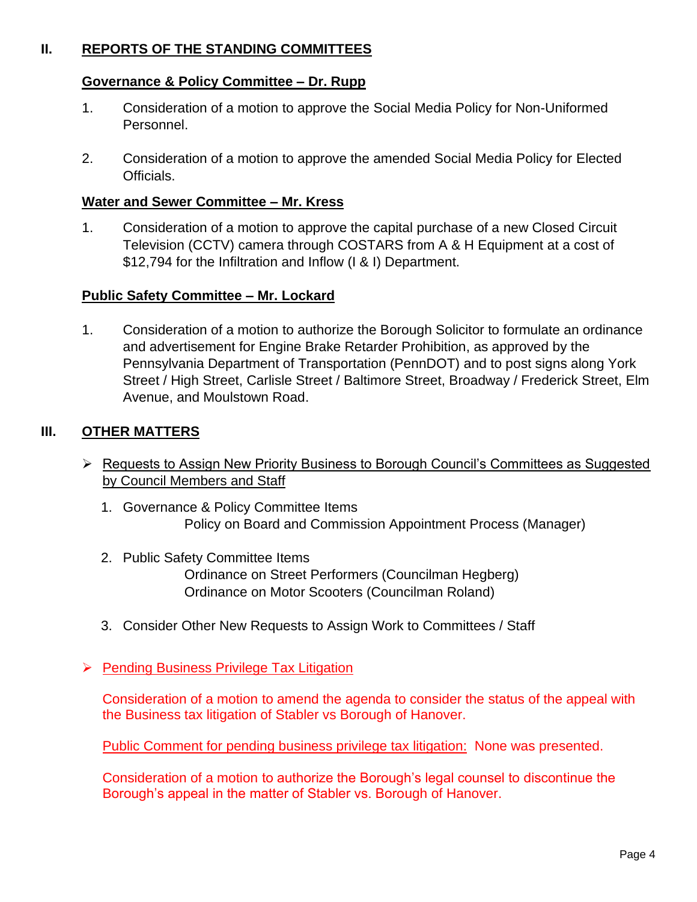# **II. REPORTS OF THE STANDING COMMITTEES**

### **Governance & Policy Committee – Dr. Rupp**

- 1. Consideration of a motion to approve the Social Media Policy for Non-Uniformed Personnel.
- 2. Consideration of a motion to approve the amended Social Media Policy for Elected Officials.

#### **Water and Sewer Committee – Mr. Kress**

1. Consideration of a motion to approve the capital purchase of a new Closed Circuit Television (CCTV) camera through COSTARS from A & H Equipment at a cost of \$12,794 for the Infiltration and Inflow (I & I) Department.

### **Public Safety Committee – Mr. Lockard**

1. Consideration of a motion to authorize the Borough Solicitor to formulate an ordinance and advertisement for Engine Brake Retarder Prohibition, as approved by the Pennsylvania Department of Transportation (PennDOT) and to post signs along York Street / High Street, Carlisle Street / Baltimore Street, Broadway / Frederick Street, Elm Avenue, and Moulstown Road.

### **III. OTHER MATTERS**

- ➢ Requests to Assign New Priority Business to Borough Council's Committees as Suggested by Council Members and Staff
	- 1. Governance & Policy Committee Items Policy on Board and Commission Appointment Process (Manager)
	- 2. Public Safety Committee Items Ordinance on Street Performers (Councilman Hegberg) Ordinance on Motor Scooters (Councilman Roland)
	- 3. Consider Other New Requests to Assign Work to Committees / Staff
- ➢ Pending Business Privilege Tax Litigation

Consideration of a motion to amend the agenda to consider the status of the appeal with the Business tax litigation of Stabler vs Borough of Hanover.

Public Comment for pending business privilege tax litigation: None was presented.

Consideration of a motion to authorize the Borough's legal counsel to discontinue the Borough's appeal in the matter of Stabler vs. Borough of Hanover.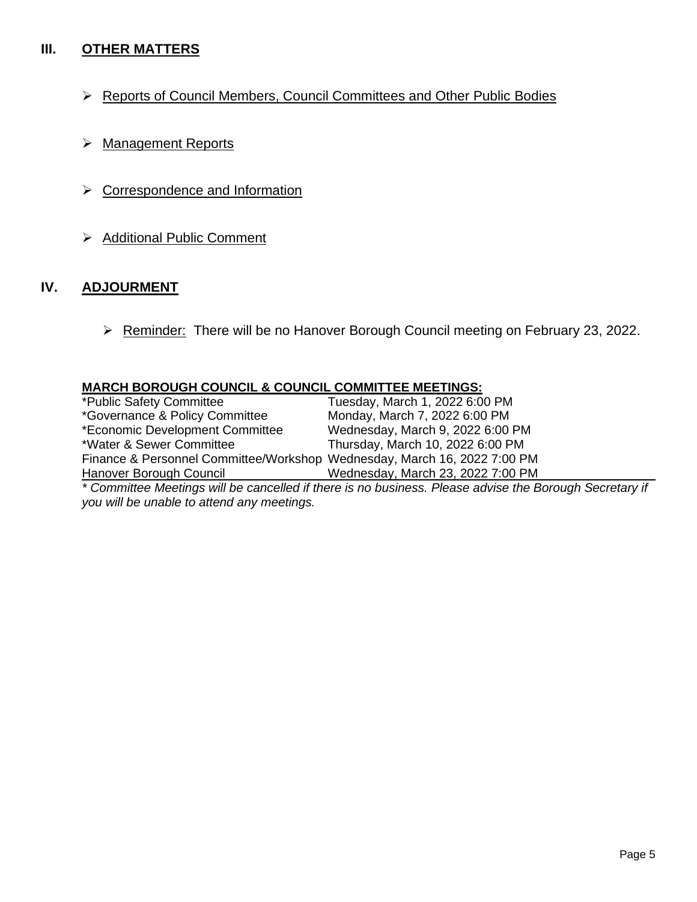# **III. OTHER MATTERS**

- ➢ Reports of Council Members, Council Committees and Other Public Bodies
- ➢ Management Reports
- ➢ Correspondence and Information
- ➢ Additional Public Comment

### **IV. ADJOURMENT**

➢ Reminder: There will be no Hanover Borough Council meeting on February 23, 2022.

| <b>MARCH BOROUGH COUNCIL &amp; COUNCIL COMMITTEE MEETINGS:</b> |  |
|----------------------------------------------------------------|--|
|                                                                |  |

| *Public Safety Committee                                                 | Tuesday, March 1, 2022 6:00 PM                                                            |
|--------------------------------------------------------------------------|-------------------------------------------------------------------------------------------|
| *Governance & Policy Committee                                           | Monday, March 7, 2022 6:00 PM                                                             |
| *Economic Development Committee                                          | Wednesday, March 9, 2022 6:00 PM                                                          |
| *Water & Sewer Committee                                                 | Thursday, March 10, 2022 6:00 PM                                                          |
| Finance & Personnel Committee/Workshop Wednesday, March 16, 2022 7:00 PM |                                                                                           |
| Hanover Borough Council                                                  | Wednesday, March 23, 2022 7:00 PM                                                         |
|                                                                          | * Committee Mentings will be conselled if there is no business. Dlease advise the Deveugh |

*\* Committee Meetings will be cancelled if there is no business. Please advise the Borough Secretary if you will be unable to attend any meetings.*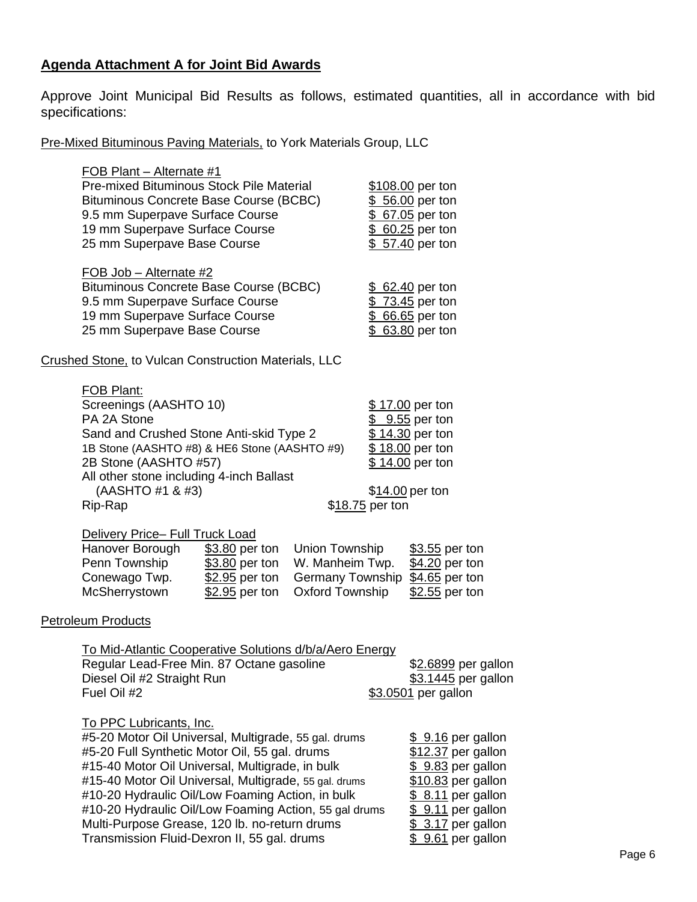# **Agenda Attachment A for Joint Bid Awards**

Approve Joint Municipal Bid Results as follows, estimated quantities, all in accordance with bid specifications:

Pre-Mixed Bituminous Paving Materials, to York Materials Group, LLC

| FOB Plant - Alternate #1<br>Pre-mixed Bituminous Stock Pile Material<br>Bituminous Concrete Base Course (BCBC)<br>9.5 mm Superpave Surface Course<br>19 mm Superpave Surface Course<br>25 mm Superpave Base Course                                                                                                                                                                                                                                               |                                                                                 | \$108.00 per ton<br>\$ 56.00 per ton<br>\$ 67.05 per ton<br>\$ 60.25 per ton<br>\$ 57.40 per ton                                                                             |
|------------------------------------------------------------------------------------------------------------------------------------------------------------------------------------------------------------------------------------------------------------------------------------------------------------------------------------------------------------------------------------------------------------------------------------------------------------------|---------------------------------------------------------------------------------|------------------------------------------------------------------------------------------------------------------------------------------------------------------------------|
| FOB Job - Alternate #2<br>Bituminous Concrete Base Course (BCBC)<br>9.5 mm Superpave Surface Course<br>19 mm Superpave Surface Course<br>25 mm Superpave Base Course                                                                                                                                                                                                                                                                                             |                                                                                 | \$ 62.40 per ton<br>\$73.45 per ton<br>\$ 66.65 per ton<br>\$ 63.80 per ton                                                                                                  |
| <b>Crushed Stone, to Vulcan Construction Materials, LLC</b>                                                                                                                                                                                                                                                                                                                                                                                                      |                                                                                 |                                                                                                                                                                              |
| <b>FOB Plant:</b><br>Screenings (AASHTO 10)<br>PA 2A Stone<br>Sand and Crushed Stone Anti-skid Type 2<br>1B Stone (AASHTO #8) & HE6 Stone (AASHTO #9)<br>2B Stone (AASHTO #57)<br>All other stone including 4-inch Ballast<br>(AASHTO #1 & #3)<br>Rip-Rap                                                                                                                                                                                                        | \$18.75 per ton                                                                 | \$17.00 per ton<br>$$9.55$ per ton<br>\$14.30 per ton<br>\$18.00 per ton<br>\$14.00 per ton<br>\$14.00 per ton                                                               |
| <b>Delivery Price- Full Truck Load</b><br>Hanover Borough<br>\$3.80 per ton<br>Penn Township<br>\$3.80 per ton<br>Conewago Twp.<br>\$2.95 per ton<br>McSherrystown<br>$$2.95$ per ton                                                                                                                                                                                                                                                                            | Union Township<br>W. Manheim Twp.<br>Germany Township<br><b>Oxford Township</b> | \$3.55 per ton<br>\$4.20 per ton<br>$$4.65$ per ton<br>$$2.55$ per ton                                                                                                       |
| <b>Petroleum Products</b>                                                                                                                                                                                                                                                                                                                                                                                                                                        |                                                                                 |                                                                                                                                                                              |
| <u>To Mid-Atlantic Cooperative Solutions d/b/a/Aero Energy</u><br>Regular Lead-Free Min. 87 Octane gasoline<br>Diesel Oil #2 Straight Run<br>Fuel Oil #2                                                                                                                                                                                                                                                                                                         |                                                                                 | \$ <u>2.6899</u> per gallon<br>\$3.1445 per gallon<br>\$3.0501 per gallon                                                                                                    |
| <b>To PPC Lubricants, Inc.</b><br>#5-20 Motor Oil Universal, Multigrade, 55 gal. drums<br>#5-20 Full Synthetic Motor Oil, 55 gal. drums<br>#15-40 Motor Oil Universal, Multigrade, in bulk<br>#15-40 Motor Oil Universal, Multigrade, 55 gal. drums<br>#10-20 Hydraulic Oil/Low Foaming Action, in bulk<br>#10-20 Hydraulic Oil/Low Foaming Action, 55 gal drums<br>Multi-Purpose Grease, 120 lb. no-return drums<br>Transmission Fluid-Dexron II, 55 gal. drums |                                                                                 | $$9.16$ per gallon<br>\$12.37 per gallon<br>$$9.83$ per gallon<br>\$10.83 per gallon<br>$$8.11$ per gallon<br>\$ 9.11 per gallon<br>$$3.17$ per gallon<br>$$9.61$ per gallon |